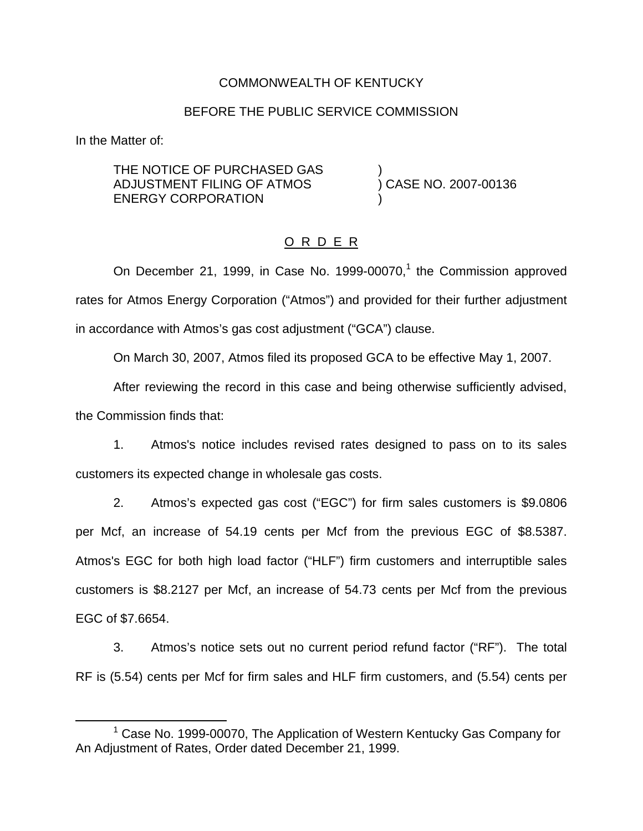## COMMONWEALTH OF KENTUCKY

### BEFORE THE PUBLIC SERVICE COMMISSION

In the Matter of:

THE NOTICE OF PURCHASED GAS ADJUSTMENT FILING OF ATMOS ) CASE NO. 2007-00136 ENERGY CORPORATION

## O R D E R

On December 21, 1999, in Case No. 1999-00070,<sup>1</sup> the Commission approved rates for Atmos Energy Corporation ("Atmos") and provided for their further adjustment in accordance with Atmos's gas cost adjustment ("GCA") clause.

On March 30, 2007, Atmos filed its proposed GCA to be effective May 1, 2007.

After reviewing the record in this case and being otherwise sufficiently advised, the Commission finds that:

1. Atmos's notice includes revised rates designed to pass on to its sales customers its expected change in wholesale gas costs.

2. Atmos's expected gas cost ("EGC") for firm sales customers is \$9.0806 per Mcf, an increase of 54.19 cents per Mcf from the previous EGC of \$8.5387. Atmos's EGC for both high load factor ("HLF") firm customers and interruptible sales customers is \$8.2127 per Mcf, an increase of 54.73 cents per Mcf from the previous EGC of \$7.6654.

3. Atmos's notice sets out no current period refund factor ("RF"). The total RF is (5.54) cents per Mcf for firm sales and HLF firm customers, and (5.54) cents per

 $1$  Case No. 1999-00070. The Application of Western Kentucky Gas Company for An Adjustment of Rates, Order dated December 21, 1999.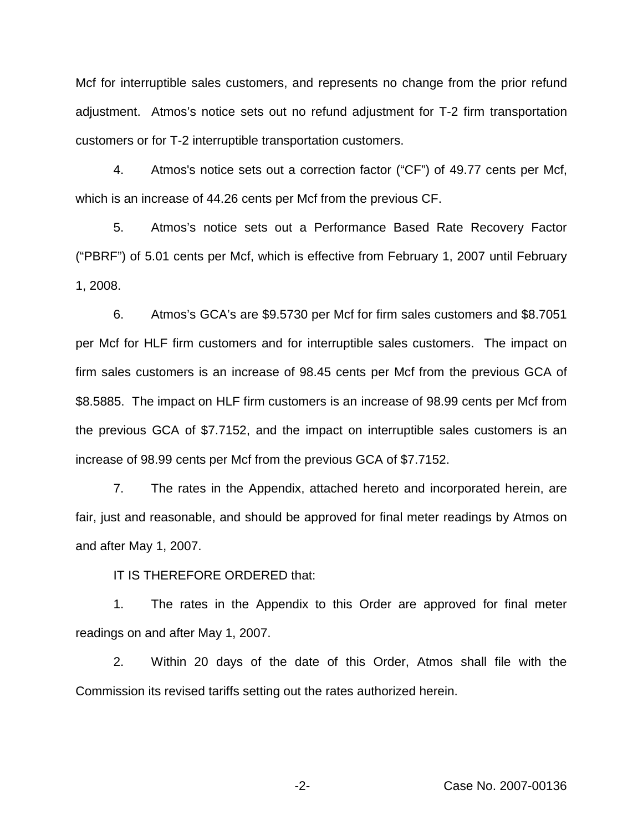Mcf for interruptible sales customers, and represents no change from the prior refund adjustment. Atmos's notice sets out no refund adjustment for T-2 firm transportation customers or for T-2 interruptible transportation customers.

4. Atmos's notice sets out a correction factor ("CF") of 49.77 cents per Mcf, which is an increase of 44.26 cents per Mcf from the previous CF.

5. Atmos's notice sets out a Performance Based Rate Recovery Factor ("PBRF") of 5.01 cents per Mcf, which is effective from February 1, 2007 until February 1, 2008.

6. Atmos's GCA's are \$9.5730 per Mcf for firm sales customers and \$8.7051 per Mcf for HLF firm customers and for interruptible sales customers. The impact on firm sales customers is an increase of 98.45 cents per Mcf from the previous GCA of \$8.5885. The impact on HLF firm customers is an increase of 98.99 cents per Mcf from the previous GCA of \$7.7152, and the impact on interruptible sales customers is an increase of 98.99 cents per Mcf from the previous GCA of \$7.7152.

7. The rates in the Appendix, attached hereto and incorporated herein, are fair, just and reasonable, and should be approved for final meter readings by Atmos on and after May 1, 2007.

IT IS THEREFORE ORDERED that:

1. The rates in the Appendix to this Order are approved for final meter readings on and after May 1, 2007.

2. Within 20 days of the date of this Order, Atmos shall file with the Commission its revised tariffs setting out the rates authorized herein.

-2- Case No. 2007-00136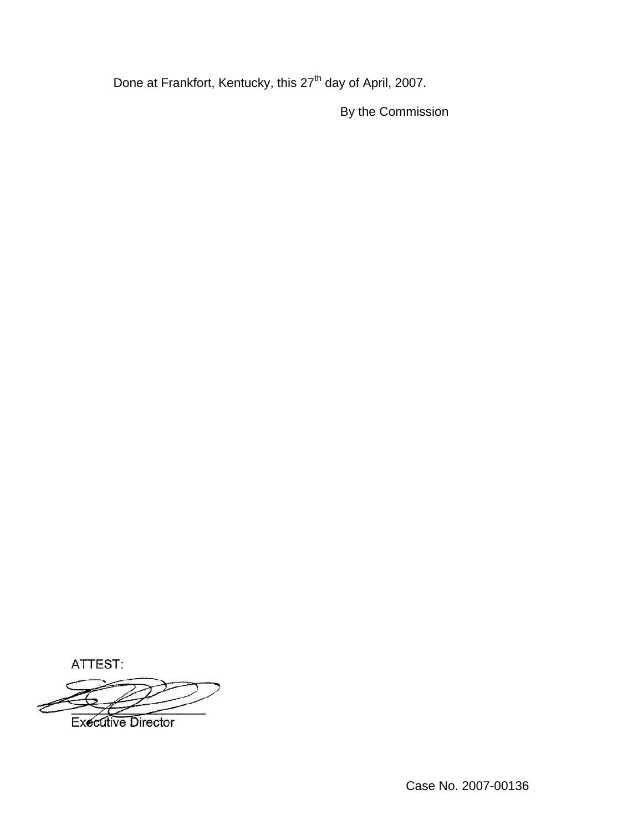Done at Frankfort, Kentucky, this 27<sup>th</sup> day of April, 2007.

By the Commission

ATTEST:

**Executive Director**